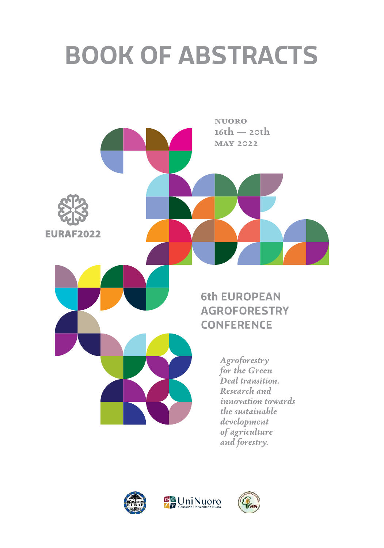# **BOOK OF ABSTRACTS**





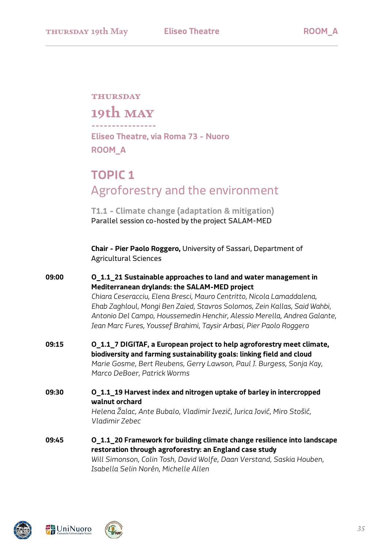# **thursday**

**19th may**

**---------------- Eliseo Theatre, via Roma 73 - Nuoro ROOM\_A**

# **TOPIC 1** Agroforestry and the environment

**T1.1 - Climate change (adaptation & mitigation)** Parallel session co-hosted by the project SALAM-MED

**Chair - Pier Paolo Roggero,** University of Sassari, Department of Agricultural Sciences

# **09:00 O\_1.1\_21 Sustainable approaches to land and water management in Mediterranean drylands: the SALAM-MED project** *Chiara Ceseracciu, Elena Bresci, Mauro Centritto, Nicola Lamaddalena, Ehab Zaghloul, Mongi Ben Zaied, Stavros Solomos, Zein Kallas, Said Wahbi, Antonio Del Campo, Houssemedin Henchir, Alessio Merella, Andrea Galante, Jean Marc Fures, Youssef Brahimi, Taysir Arbasi, Pier Paolo Roggero*

- **09:15 O\_1.1\_7 DIGITAF, a European project to help agroforestry meet climate, biodiversity and farming sustainability goals: linking field and cloud** *Marie Gosme, Bert Reubens, Gerry Lawson, Paul J. Burgess, Sonja Kay, Marco DeBoer, Patrick Worms*
- **09:30 O\_1.1\_19 Harvest index and nitrogen uptake of barley in intercropped walnut orchard** *Helena Žalac, Ante Bubalo, Vladimir Ivezić, Jurica Jović, Miro Stošić,*

*Vladimir Zebec*

**09:45 O\_1.1\_20 Framework for building climate change resilience into landscape restoration through agroforestry: an England case study** *Will Simonson, Colin Tosh, David Wolfe, Daan Verstand, Saskia Houben, Isabella Selin Norén, Michelle Allen* 





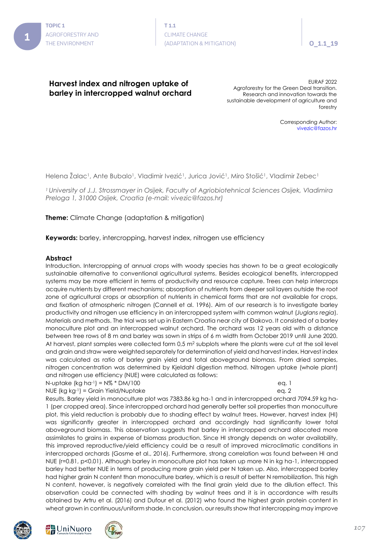## **Harvest index and nitrogen uptake of barley in intercropped walnut orchard**

EURAF 2022 Agroforestry for the Green Deal transition. Research and innovation towards the sustainable development of agriculture and forestry

> Corresponding Author: vivezic@fazos.hr

Helena Žalac<sup>1</sup>, Ante Bubalo<sup>1</sup>, Vladimir Ivezić<sup>1</sup>, Jurica Jović<sup>1</sup>, Miro Stošić<sup>1</sup>, Vladimir Zebec<sup>1</sup>

*1 University of J.J. Strossmayer in Osijek, Faculty of Agriobiotehnical Sciences Osijek, Vladimira Preloga 1, 31000 Osijek, Croatia (e-mail: vivezic@fazos.hr)*

**Theme:** Climate Change (adaptation & mitigation)

**Keywords:** barley, intercropping, harvest index, nitrogen use efficiency

## **Abstract**

Introduction. Intercropping of annual crops with woody species has shown to be a great ecologically sustainable alternative to conventional agricultural systems. Besides ecological benefits, intercropped systems may be more efficient in terms of productivity and resource capture. Trees can help intercrops acquire nutrients by different mechanisms; absorption of nutrients from deeper soil layers outside the root zone of agricultural crops or absorption of nutrients in chemical forms that are not available for crops, and fixation of atmospheric nitrogen (Cannell et al. 1996). Aim of our research is to investigate barley productivity and nitrogen use efficiency in an intercropped system with common walnut (*Juglans regia*). Materials and methods. The trial was set up in Eastern Croatia near city of Đakovo. It consisted of a barley monoculture plot and an intercropped walnut orchard. The orchard was 12 years old with a distance between tree rows of 8 m and barley was sown in strips of 6 m width from October 2019 until June 2020. At harvest, plant samples were collected form 0,5 m<sup>2</sup> subplots where the plants were cut at the soil level and grain and straw were weighted separately for determination of yield and harvest index. Harvest index was calculated as ratio of barley grain yield and total aboveground biomass. From dried samples, nitrogen concentration was determined by Kjeldahl digestion method. Nitrogen uptake (whole plant) and nitrogen use efficiency (NUE) were calculated as follows:

N-uptake (kg ha-1) = N% \* DM/100 eq. 1

NUE (kg kg·1) = Grain Yield/Nuptake eq. 2

Results. Barley yield in monoculture plot was 7383.86 kg ha-1 and in intercropped orchard 7094.59 kg ha-1 (per cropped area). Since intercropped orchard had generally better soil properties than monoculture plot, this yield reduction is probably due to shading effect by walnut trees. However, harvest index (HI) was significantly greater in intercropped orchard and accordingly had significantly lower total aboveground biomass. This observation suggests that barley in intercropped orchard allocated more assimilates to grains in expense of biomass production. Since HI strongly depends on water availability, this improved reproductive/yield efficiency could be a result of improved microclimatic conditions in intercropped orchards (Gosme et al., 2016). Furthermore, strong correlation was found between HI and NUE (r=0.81, p<0.01). Although barley in monoculture plot has taken up more N in kg ha-1, intercropped barley had better NUE in terms of producing more grain yield per N taken up. Also, intercropped barley had higher grain N content than monoculture barley, which is a result of better N remobilization. This high N content, however, is negatively correlated with the final grain yield due to the dilution effect. This observation could be connected with shading by walnut trees and it is in accordance with results obtained by Artru et al. (2016) and Dufour et al. (2012) who found the highest grain protein content in wheat grown in continuous/uniform shade. In conclusion, our results show that intercropping may improve





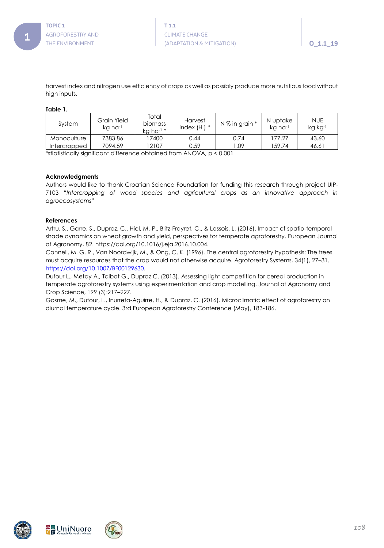

harvest index and nitrogen use efficiency of crops as well as possibly produce more nutritious food without high inputs.

### **Table 1.**

| System       | Grain Yield<br>ka ha <sup>-1</sup> | Total<br><b>biomass</b><br>kg ha $^{-1}$ * | Harvest<br>index $(HI)$ * | N % in grain * | N uptake<br>kg ha-1 | <b>NUE</b><br>kg kg-1 |
|--------------|------------------------------------|--------------------------------------------|---------------------------|----------------|---------------------|-----------------------|
| Monoculture  | 7383.86                            | 7400                                       | 0.44                      | 0.74           | 177.27              | 43.60                 |
| Intercropped | 7094.59                            | 12107                                      | 0.59                      | .09            | 59.74               | 46.61                 |

\*stiatistically significant difference obtained from ANOVA, p < 0.001

### **Acknowledgments**

Authors would like to thank Croatian Science Foundation for funding this research through project UIP-7103 "*Intercropping of wood species and agricultural crops as an innovative approach in agroecosystems*"

### **References**

Artru, S., Garre, S., Dupraz, C., Hiel, M.-P., Blitz-Frayret, C., & Lassois, L. (2016). Impact of spatio-temporal shade dynamics on wheat growth and yield, perspectives for temperate agroforestry. European Journal of Agronomy, 82. https://doi.org/10.1016/j.eja.2016.10.004.

Cannell, M. G. R., Van Noordwijk, M., & Ong, C. K. (1996). The central agroforestry hypothesis: The trees must acquire resources that the crop would not otherwise acquire. Agroforestry Systems, 34(1), 27–31. https://doi.org/10.1007/BF00129630.

Dufour L., Metay A., Talbot G., Dupraz C. (2013). Assessing light competition for cereal production in temperate agroforestry systems using experimentation and crop modelling. Journal of Agronomy and Crop Science, 199 (3):217–227.

Gosme, M., Dufour, L., Inurreta-Aguirre, H., & Dupraz, C. (2016). Microclimatic effect of agroforestry on diurnal temperature cycle. 3rd European Agroforestry Conference (May), 183-186.